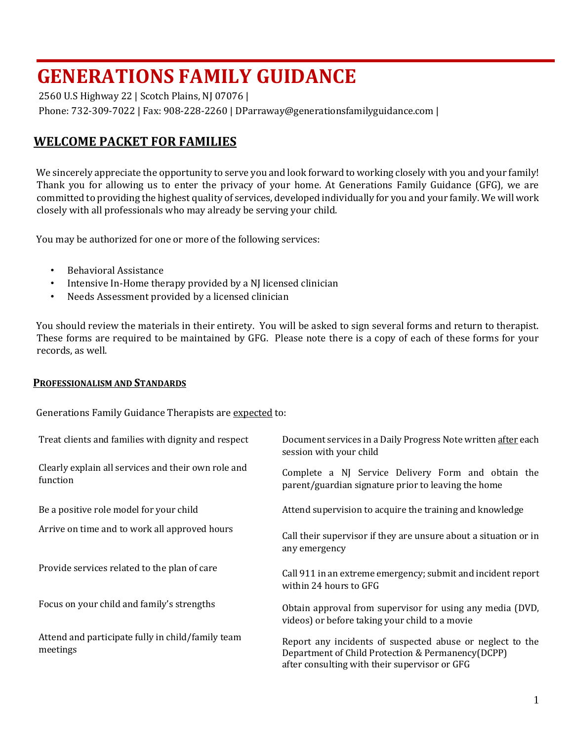2560 U.S Highway 22 | Scotch Plains, NJ 07076 |

Phone: 732-309-7022 | Fax: 908-228-2260 | DParraway@generationsfamilyguidance.com |

## **WELCOME PACKET FOR FAMILIES**

We sincerely appreciate the opportunity to serve you and look forward to working closely with you and your family! Thank you for allowing us to enter the privacy of your home. At Generations Family Guidance (GFG), we are committed to providing the highest quality of services, developed individually for you and your family. We will work closely with all professionals who may already be serving your child.

You may be authorized for one or more of the following services:

- Behavioral Assistance
- Intensive In-Home therapy provided by a NJ licensed clinician
- Needs Assessment provided by a licensed clinician

You should review the materials in their entirety. You will be asked to sign several forms and return to therapist. These forms are required to be maintained by GFG. Please note there is a copy of each of these forms for your records, as well.

#### **PROFESSIONALISM AND STANDARDS**

Generations Family Guidance Therapists are expected to:

| Treat clients and families with dignity and respect             | Document services in a Daily Progress Note written after each<br>session with your child                                                                        |  |  |  |
|-----------------------------------------------------------------|-----------------------------------------------------------------------------------------------------------------------------------------------------------------|--|--|--|
| Clearly explain all services and their own role and<br>function | Complete a NJ Service Delivery Form and obtain the<br>parent/guardian signature prior to leaving the home                                                       |  |  |  |
| Be a positive role model for your child                         | Attend supervision to acquire the training and knowledge                                                                                                        |  |  |  |
| Arrive on time and to work all approved hours                   | Call their supervisor if they are unsure about a situation or in<br>any emergency                                                                               |  |  |  |
| Provide services related to the plan of care                    | Call 911 in an extreme emergency; submit and incident report<br>within 24 hours to GFG                                                                          |  |  |  |
| Focus on your child and family's strengths                      | Obtain approval from supervisor for using any media (DVD,<br>videos) or before taking your child to a movie                                                     |  |  |  |
| Attend and participate fully in child/family team<br>meetings   | Report any incidents of suspected abuse or neglect to the<br>Department of Child Protection & Permanency(DCPP)<br>after consulting with their supervisor or GFG |  |  |  |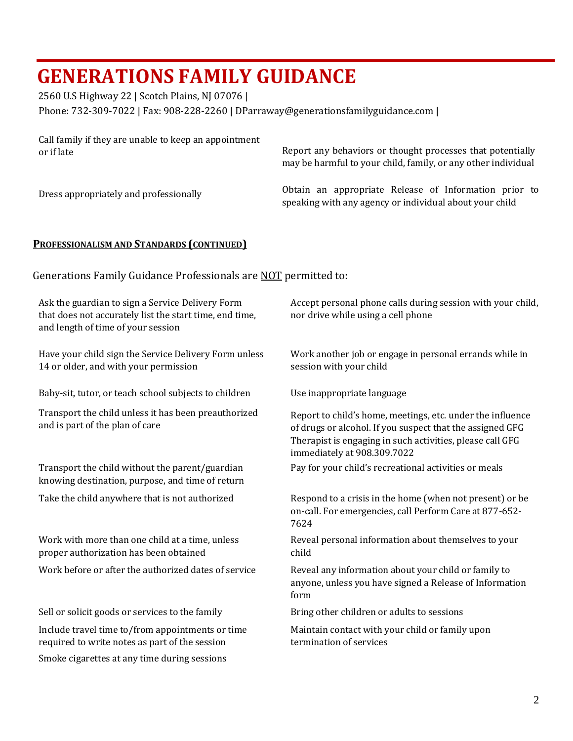2560 U.S Highway 22 | Scotch Plains, NJ 07076 |

Phone: 732-309-7022 | Fax: 908-228-2260 | DParraway@generationsfamilyguidance.com |

| Call family if they are unable to keep an appointment | Report any behaviors or thought processes that potentially                                                       |  |  |  |  |  |
|-------------------------------------------------------|------------------------------------------------------------------------------------------------------------------|--|--|--|--|--|
| or if late                                            | may be harmful to your child, family, or any other individual                                                    |  |  |  |  |  |
| Dress appropriately and professionally                | Obtain an appropriate Release of Information prior to<br>speaking with any agency or individual about your child |  |  |  |  |  |

### **PROFESSIONALISM AND STANDARDS (CONTINUED)**

Generations Family Guidance Professionals are NOT permitted to:

| Ask the guardian to sign a Service Delivery Form<br>that does not accurately list the start time, end time,<br>and length of time of your session | Accept personal phone calls during session with your child,<br>nor drive while using a cell phone                                                                                                                   |
|---------------------------------------------------------------------------------------------------------------------------------------------------|---------------------------------------------------------------------------------------------------------------------------------------------------------------------------------------------------------------------|
| Have your child sign the Service Delivery Form unless<br>14 or older, and with your permission                                                    | Work another job or engage in personal errands while in<br>session with your child                                                                                                                                  |
| Baby-sit, tutor, or teach school subjects to children                                                                                             | Use inappropriate language                                                                                                                                                                                          |
| Transport the child unless it has been preauthorized<br>and is part of the plan of care                                                           | Report to child's home, meetings, etc. under the influence<br>of drugs or alcohol. If you suspect that the assigned GFG<br>Therapist is engaging in such activities, please call GFG<br>immediately at 908.309.7022 |
| Transport the child without the parent/guardian<br>knowing destination, purpose, and time of return                                               | Pay for your child's recreational activities or meals                                                                                                                                                               |
| Take the child anywhere that is not authorized                                                                                                    | Respond to a crisis in the home (when not present) or be<br>on-call. For emergencies, call Perform Care at 877-652-<br>7624                                                                                         |
| Work with more than one child at a time, unless<br>proper authorization has been obtained                                                         | Reveal personal information about themselves to your<br>child                                                                                                                                                       |
| Work before or after the authorized dates of service                                                                                              | Reveal any information about your child or family to<br>anyone, unless you have signed a Release of Information<br>form                                                                                             |
| Sell or solicit goods or services to the family                                                                                                   | Bring other children or adults to sessions                                                                                                                                                                          |
| Include travel time to/from appointments or time<br>required to write notes as part of the session                                                | Maintain contact with your child or family upon<br>termination of services                                                                                                                                          |
| Smoke cigarettes at any time during sessions                                                                                                      |                                                                                                                                                                                                                     |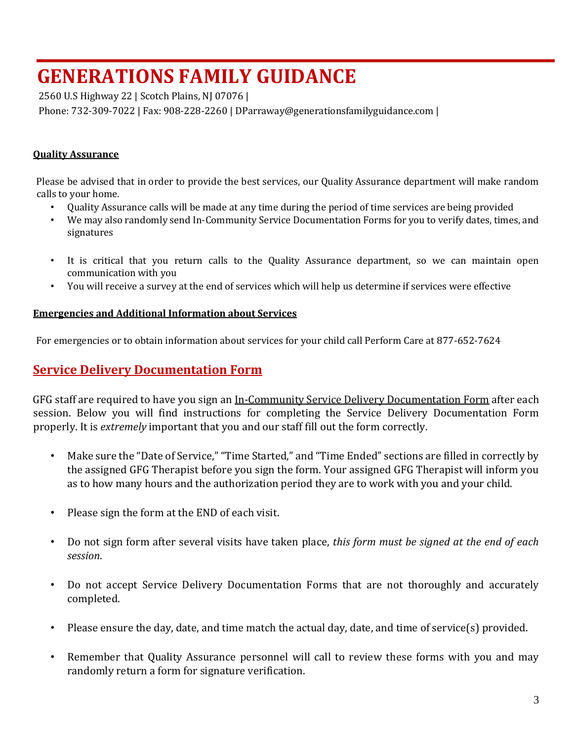2560 U.S Highway 22 | Scotch Plains, NJ 07076 |

Phone: 732-309-7022 | Fax: 908-228-2260 | DParraway@generationsfamilyguidance.com |

### **Quality Assurance**

Please be advised that in order to provide the best services, our Quality Assurance department will make random calls to your home.

- Quality Assurance calls will be made at any time during the period of time services are being provided
- We may also randomly send In-Community Service Documentation Forms for you to verify dates, times, and signatures
- It is critical that you return calls to the Quality Assurance department, so we can maintain open communication with you
- You will receive a survey at the end of services which will help us determine if services were effective

### **Emergencies and Additional Information about Services**

For emergencies or to obtain information about services for your child call Perform Care at 877-652-7624

## **Service Delivery Documentation Form**

GFG staff are required to have you sign an In-Community Service Delivery Documentation Form after each session. Below you will find instructions for completing the Service Delivery Documentation Form properly. It is *extremely* important that you and our staff fill out the form correctly.

- Make sure the "Date of Service," "Time Started," and "Time Ended" sections are filled in correctly by the assigned GFG Therapist before you sign the form. Your assigned GFG Therapist will inform you as to how many hours and the authorization period they are to work with you and your child.
- Please sign the form at the END of each visit.
- Do not sign form after several visits have taken place, *this form must be signed at the end of each session*.
- Do not accept Service Delivery Documentation Forms that are not thoroughly and accurately completed.
- Please ensure the day, date, and time match the actual day, date, and time of service(s) provided.
- Remember that Quality Assurance personnel will call to review these forms with you and may randomly return a form for signature verification.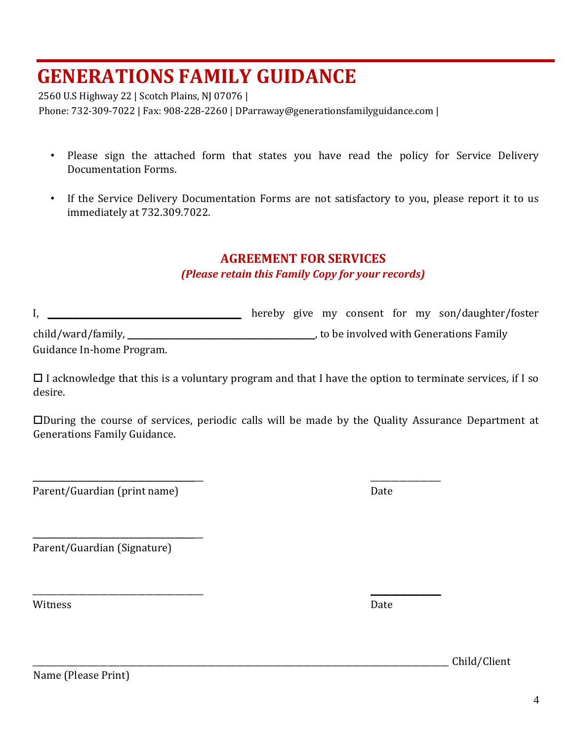2560 U.S Highway 22 | Scotch Plains, NJ 07076 | Phone: 732-309-7022 | Fax: 908-228-2260 | DParraway@generationsfamilyguidance.com |

- Please sign the attached form that states you have read the policy for Service Delivery Documentation Forms.
- If the Service Delivery Documentation Forms are not satisfactory to you, please report it to us immediately at 732.309.7022.

### **AGREEMENT FOR SERVICES**

### *(Please retain this Family Copy for your records)*

|                           |  |  |  | hereby give my consent for my son/daughter/foster |
|---------------------------|--|--|--|---------------------------------------------------|
| child/ward/family,        |  |  |  | , to be involved with Generations Family          |
| Guidance In-home Program. |  |  |  |                                                   |

 $\Box$  I acknowledge that this is a voluntary program and that I have the option to terminate services, if I so desire.

During the course of services, periodic calls will be made by the Quality Assurance Department at Generations Family Guidance.

\_\_\_\_\_\_\_\_\_\_\_\_\_\_\_\_\_\_\_\_\_\_\_\_\_\_\_\_\_\_\_\_\_\_\_\_\_\_\_\_\_ \_\_\_\_\_\_\_\_\_\_\_\_\_\_\_\_\_

 $\overline{\phantom{a}}$  , and the contract of the contract of the contract of the contract of the contract of the contract of the contract of the contract of the contract of the contract of the contract of the contract of the contrac

Parent/Guardian (print name) Date

Parent/Guardian (Signature)

\_\_\_\_\_\_\_\_\_\_\_\_\_\_\_\_\_\_\_\_\_\_\_\_\_\_\_\_\_\_\_\_\_\_\_\_\_\_\_\_\_

Witness Date **Date** 

\_\_\_\_\_\_\_\_\_\_\_\_\_\_\_\_\_\_\_\_\_\_\_\_\_\_\_\_\_\_\_\_\_\_\_\_\_\_\_\_\_\_\_\_\_\_\_\_\_\_\_\_\_\_\_\_\_\_\_\_\_\_\_\_\_\_\_\_\_\_\_\_\_\_\_\_\_\_\_\_\_\_\_\_\_\_\_\_\_\_\_\_\_\_\_\_\_\_\_\_ Child/Client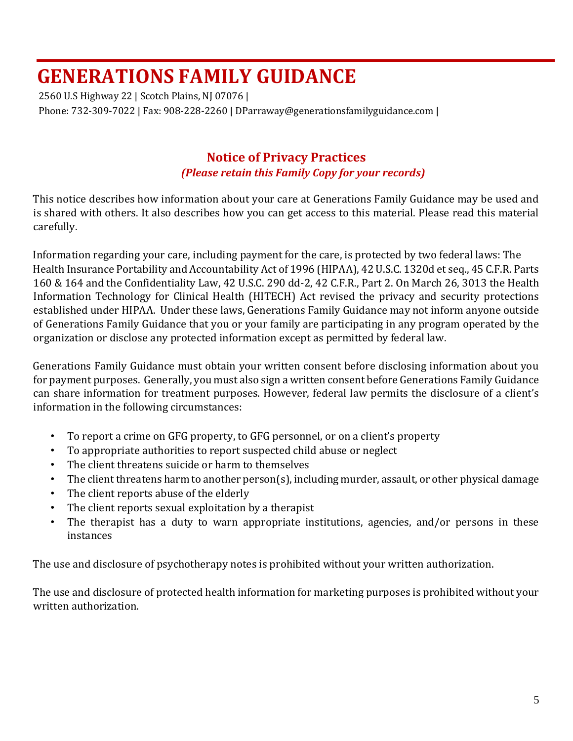2560 U.S Highway 22 | Scotch Plains, NJ 07076 | Phone: 732-309-7022 | Fax: 908-228-2260 | DParraway@generationsfamilyguidance.com |

## **Notice of Privacy Practices**  *(Please retain this Family Copy for your records)*

This notice describes how information about your care at Generations Family Guidance may be used and is shared with others. It also describes how you can get access to this material. Please read this material carefully.

Information regarding your care, including payment for the care, is protected by two federal laws: The Health Insurance Portability and Accountability Act of 1996 (HIPAA), 42 U.S.C. 1320d et seq., 45 C.F.R. Parts 160 & 164 and the Confidentiality Law, 42 U.S.C. 290 dd-2, 42 C.F.R., Part 2. On March 26, 3013 the Health Information Technology for Clinical Health (HITECH) Act revised the privacy and security protections established under HIPAA. Under these laws, Generations Family Guidance may not inform anyone outside of Generations Family Guidance that you or your family are participating in any program operated by the organization or disclose any protected information except as permitted by federal law.

Generations Family Guidance must obtain your written consent before disclosing information about you for payment purposes. Generally, you must also sign a written consent before Generations Family Guidance can share information for treatment purposes. However, federal law permits the disclosure of a client's information in the following circumstances:

- To report a crime on GFG property, to GFG personnel, or on a client's property
- To appropriate authorities to report suspected child abuse or neglect
- The client threatens suicide or harm to themselves
- The client threatens harm to another person(s), including murder, assault, or other physical damage
- The client reports abuse of the elderly
- The client reports sexual exploitation by a therapist
- The therapist has a duty to warn appropriate institutions, agencies, and/or persons in these instances

The use and disclosure of psychotherapy notes is prohibited without your written authorization.

The use and disclosure of protected health information for marketing purposes is prohibited without your written authorization.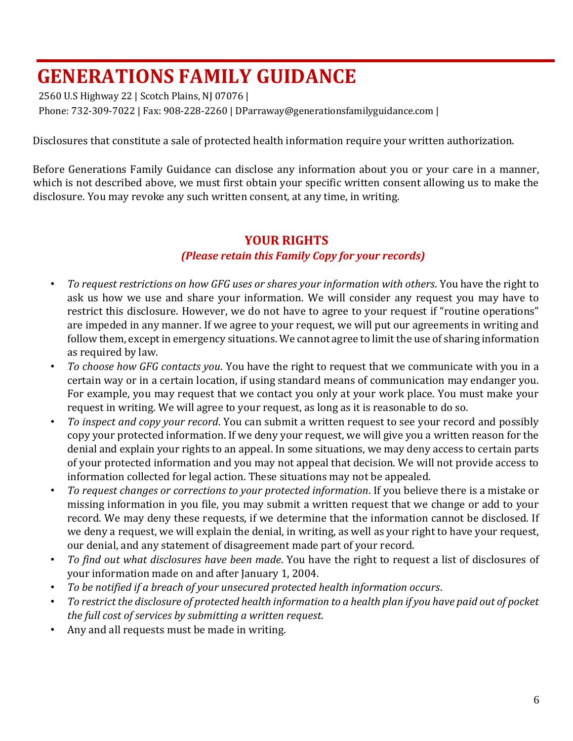2560 U.S Highway 22 | Scotch Plains, NJ 07076 | Phone: 732-309-7022 | Fax: 908-228-2260 | DParraway@generationsfamilyguidance.com |

Disclosures that constitute a sale of protected health information require your written authorization.

Before Generations Family Guidance can disclose any information about you or your care in a manner, which is not described above, we must first obtain your specific written consent allowing us to make the disclosure. You may revoke any such written consent, at any time, in writing.

### **YOUR RIGHTS**  *(Please retain this Family Copy for your records)*

- *To request restrictions on how GFG uses or shares your information with others*. You have the right to ask us how we use and share your information. We will consider any request you may have to restrict this disclosure. However, we do not have to agree to your request if "routine operations" are impeded in any manner. If we agree to your request, we will put our agreements in writing and follow them, except in emergency situations. We cannot agree to limit the use of sharing information as required by law.
- *To choose how GFG contacts you*. You have the right to request that we communicate with you in a certain way or in a certain location, if using standard means of communication may endanger you. For example, you may request that we contact you only at your work place. You must make your request in writing. We will agree to your request, as long as it is reasonable to do so.
- *To inspect and copy your record*. You can submit a written request to see your record and possibly copy your protected information. If we deny your request, we will give you a written reason for the denial and explain your rights to an appeal. In some situations, we may deny access to certain parts of your protected information and you may not appeal that decision. We will not provide access to information collected for legal action. These situations may not be appealed.
- *To request changes or corrections to your protected information*. If you believe there is a mistake or missing information in you file, you may submit a written request that we change or add to your record. We may deny these requests, if we determine that the information cannot be disclosed. If we deny a request, we will explain the denial, in writing, as well as your right to have your request, our denial, and any statement of disagreement made part of your record.
- *To find out what disclosures have been made*. You have the right to request a list of disclosures of your information made on and after January 1, 2004.
- *To be notified if a breach of your unsecured protected health information occurs*.
- *To restrict the disclosure of protected health information to a health plan if you have paid out of pocket the full cost of services by submitting a written request*.
- Any and all requests must be made in writing.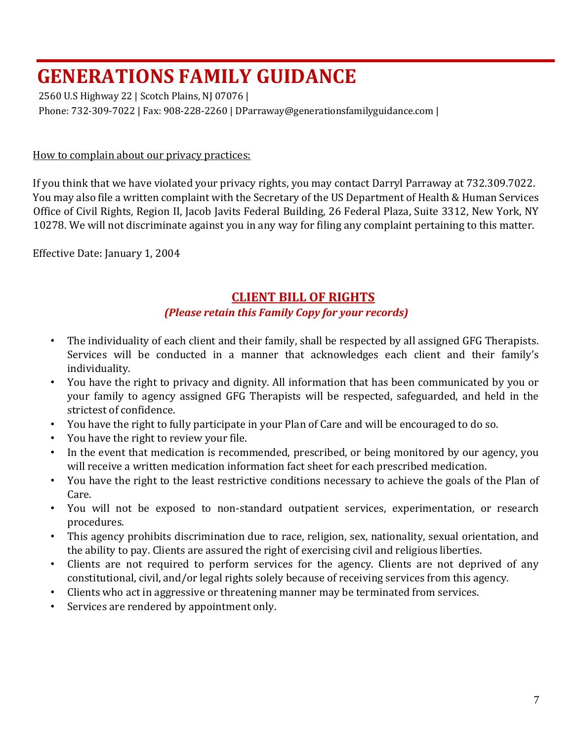2560 U.S Highway 22 | Scotch Plains, NJ 07076 | Phone: 732-309-7022 | Fax: 908-228-2260 | DParraway@generationsfamilyguidance.com |

### How to complain about our privacy practices:

If you think that we have violated your privacy rights, you may contact Darryl Parraway at 732.309.7022. You may also file a written complaint with the Secretary of the US Department of Health & Human Services Office of Civil Rights, Region II, Jacob Javits Federal Building, 26 Federal Plaza, Suite 3312, New York, NY 10278. We will not discriminate against you in any way for filing any complaint pertaining to this matter.

Effective Date: January 1, 2004

## **CLIENT BILL OF RIGHTS**

### *(Please retain this Family Copy for your records)*

- The individuality of each client and their family, shall be respected by all assigned GFG Therapists. Services will be conducted in a manner that acknowledges each client and their family's individuality.
- You have the right to privacy and dignity. All information that has been communicated by you or your family to agency assigned GFG Therapists will be respected, safeguarded, and held in the strictest of confidence.
- You have the right to fully participate in your Plan of Care and will be encouraged to do so.
- You have the right to review your file.
- In the event that medication is recommended, prescribed, or being monitored by our agency, you will receive a written medication information fact sheet for each prescribed medication.
- You have the right to the least restrictive conditions necessary to achieve the goals of the Plan of Care.
- You will not be exposed to non-standard outpatient services, experimentation, or research procedures.
- This agency prohibits discrimination due to race, religion, sex, nationality, sexual orientation, and the ability to pay. Clients are assured the right of exercising civil and religious liberties.
- Clients are not required to perform services for the agency. Clients are not deprived of any constitutional, civil, and/or legal rights solely because of receiving services from this agency.
- Clients who act in aggressive or threatening manner may be terminated from services.
- Services are rendered by appointment only.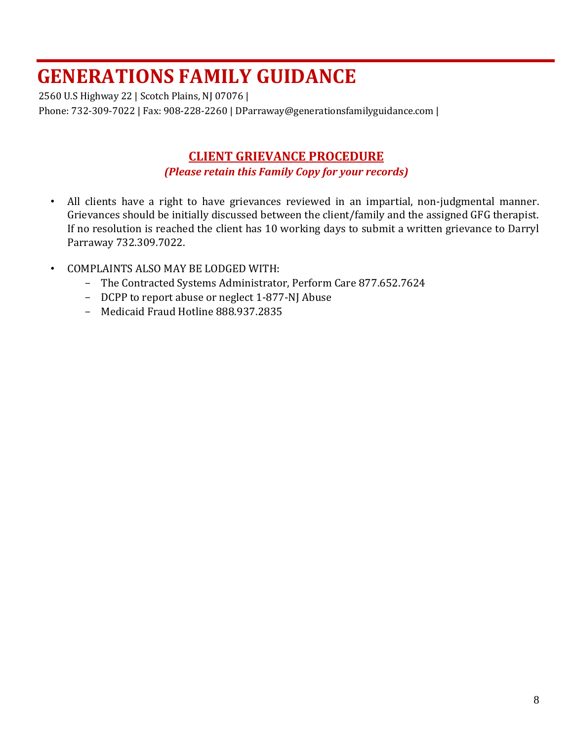2560 U.S Highway 22 | Scotch Plains, NJ 07076 | Phone: 732-309-7022 | Fax: 908-228-2260 | DParraway@generationsfamilyguidance.com |

## **CLIENT GRIEVANCE PROCEDURE** *(Please retain this Family Copy for your records)*

- All clients have a right to have grievances reviewed in an impartial, non-judgmental manner. Grievances should be initially discussed between the client/family and the assigned GFG therapist. If no resolution is reached the client has 10 working days to submit a written grievance to Darryl Parraway 732.309.7022.
- COMPLAINTS ALSO MAY BE LODGED WITH:
	- The Contracted Systems Administrator, Perform Care 877.652.7624
	- DCPP to report abuse or neglect 1-877-NJ Abuse
	- Medicaid Fraud Hotline 888.937.2835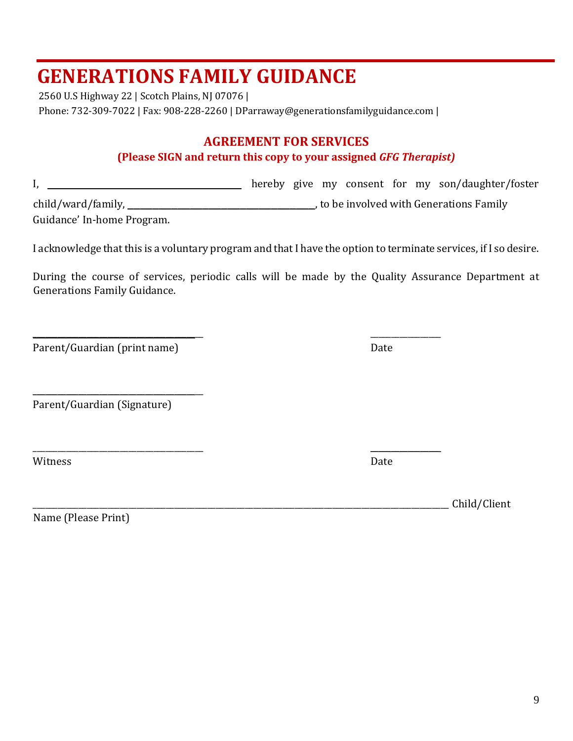2560 U.S Highway 22 | Scotch Plains, NJ 07076 | Phone: 732-309-7022 | Fax: 908-228-2260 | DParraway@generationsfamilyguidance.com |

### **AGREEMENT FOR SERVICES**

### **(Please SIGN and return this copy to your assigned** *GFG Therapist)*

I, \_\_\_\_\_\_\_\_\_\_\_\_\_\_\_\_\_\_\_\_\_\_\_\_\_\_\_\_\_\_\_\_\_ hereby give my consent for my son/daughter/foster

child/ward/family, \_\_\_\_\_\_\_\_\_\_\_\_\_\_\_\_\_\_\_\_\_\_\_\_\_\_\_\_\_\_, to be involved with Generations Family

Guidance' In-home Program.

I acknowledge that this is a voluntary program and that I have the option to terminate services, if I so desire.

During the course of services, periodic calls will be made by the Quality Assurance Department at Generations Family Guidance.

Parent/Guardian (print name) Date

Parent/Guardian (Signature)

\_\_\_\_\_\_\_\_\_\_\_\_\_\_\_\_\_\_\_\_\_\_\_\_\_\_\_\_\_\_\_\_\_\_\_\_\_\_\_\_\_

Witness Date **Date** 

Name (Please Print)

 $\overline{\phantom{a}}$  , and the contract of the contract of the contract of the contract of the contract of the contract of the contract of the contract of the contract of the contract of the contract of the contract of the contrac

\_\_\_\_\_\_\_\_\_\_\_\_\_\_\_\_\_\_\_\_\_\_\_\_\_\_\_\_\_\_\_\_\_\_\_\_\_\_\_\_\_\_\_\_\_\_\_\_\_\_\_\_\_\_\_\_\_\_\_\_\_\_\_\_\_\_\_\_\_\_\_\_\_\_\_\_\_\_\_\_\_\_\_\_\_\_\_\_\_\_\_\_\_\_\_\_\_\_\_\_ Child/Client

\_\_\_\_\_\_\_\_\_\_\_\_\_\_\_\_\_\_\_\_\_\_\_\_\_\_\_\_\_\_\_\_\_\_\_\_\_\_\_\_\_ \_\_\_\_\_\_\_\_\_\_\_\_\_\_\_\_\_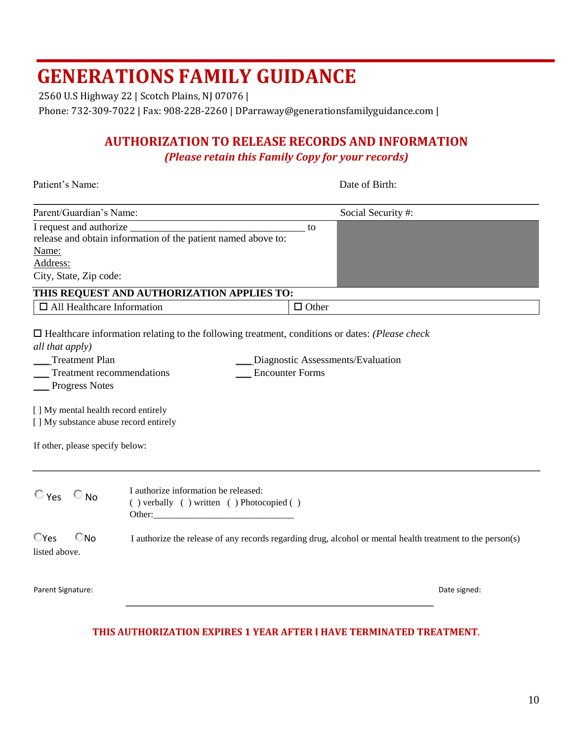2560 U.S Highway 22 | Scotch Plains, NJ 07076 |

Phone: 732-309-7022 | Fax: 908-228-2260 | DParraway@generationsfamilyguidance.com |

## **AUTHORIZATION TO RELEASE RECORDS AND INFORMATION**

*(Please retain this Family Copy for your records)* 

| Patient's Name:                                                                                                                                                                                                           |                                                                                                                                                                                                                                                                                                                    |              | Date of Birth:                                                                                             |
|---------------------------------------------------------------------------------------------------------------------------------------------------------------------------------------------------------------------------|--------------------------------------------------------------------------------------------------------------------------------------------------------------------------------------------------------------------------------------------------------------------------------------------------------------------|--------------|------------------------------------------------------------------------------------------------------------|
| Parent/Guardian's Name:                                                                                                                                                                                                   |                                                                                                                                                                                                                                                                                                                    |              | Social Security #:                                                                                         |
| Name:<br>Address:                                                                                                                                                                                                         | release and obtain information of the patient named above to:                                                                                                                                                                                                                                                      | to           |                                                                                                            |
| City, State, Zip code:                                                                                                                                                                                                    |                                                                                                                                                                                                                                                                                                                    |              |                                                                                                            |
| $\Box$ All Healthcare Information                                                                                                                                                                                         | THIS REQUEST AND AUTHORIZATION APPLIES TO:                                                                                                                                                                                                                                                                         | $\Box$ Other |                                                                                                            |
| all that apply)<br><b>Treatment Plan</b><br><b>Treatment recommendations</b><br><b>Progress Notes</b><br>[ ] My mental health record entirely<br>[] My substance abuse record entirely<br>If other, please specify below: | $\Box$ Healthcare information relating to the following treatment, conditions or dates: (Please check<br><b>Encounter Forms</b>                                                                                                                                                                                    |              | Diagnostic Assessments/Evaluation                                                                          |
| $\circ$ Yes $\circ$ No                                                                                                                                                                                                    | I authorize information be released:<br>() verbally () written () Photocopied ()<br>Other: The Company of the Company of the Company of the Company of the Company of the Company of the Company of the Company of the Company of the Company of the Company of the Company of the Company of the Company of the C |              |                                                                                                            |
| $\Box$ Yes<br>©No<br>listed above.                                                                                                                                                                                        |                                                                                                                                                                                                                                                                                                                    |              | I authorize the release of any records regarding drug, alcohol or mental health treatment to the person(s) |
| Parent Signature:                                                                                                                                                                                                         |                                                                                                                                                                                                                                                                                                                    |              | Date signed:                                                                                               |

### **THIS AUTHORIZATION EXPIRES 1 YEAR AFTER I HAVE TERMINATED TREATMENT.**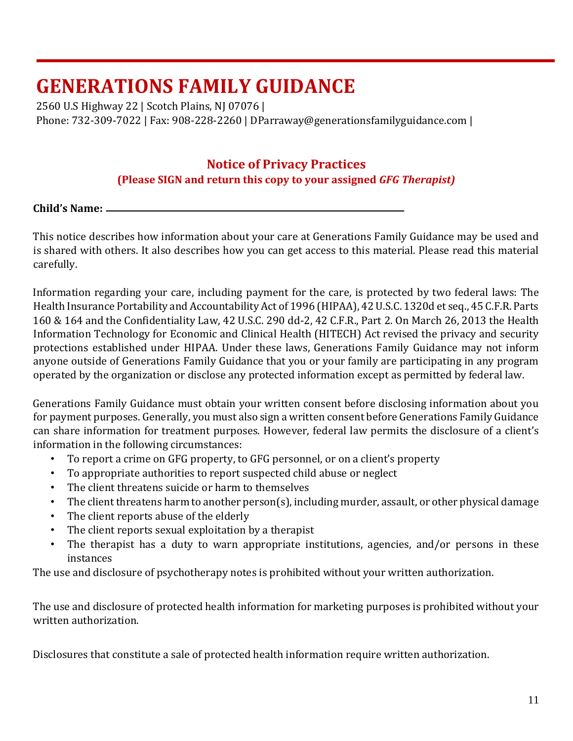2560 U.S Highway 22 | Scotch Plains, NJ 07076 | Phone: 732-309-7022 | Fax: 908-228-2260 | DParraway@generationsfamilyguidance.com |

## **Notice of Privacy Practices**

### **(Please SIGN and return this copy to your assigned** *GFG Therapist)*

### **Child's Name:**

This notice describes how information about your care at Generations Family Guidance may be used and is shared with others. It also describes how you can get access to this material. Please read this material carefully.

Information regarding your care, including payment for the care, is protected by two federal laws: The Health Insurance Portability and Accountability Act of 1996 (HIPAA), 42 U.S.C. 1320d et seq., 45 C.F.R. Parts 160 & 164 and the Confidentiality Law, 42 U.S.C. 290 dd-2, 42 C.F.R., Part 2. On March 26, 2013 the Health Information Technology for Economic and Clinical Health (HITECH) Act revised the privacy and security protections established under HIPAA. Under these laws, Generations Family Guidance may not inform anyone outside of Generations Family Guidance that you or your family are participating in any program operated by the organization or disclose any protected information except as permitted by federal law.

Generations Family Guidance must obtain your written consent before disclosing information about you for payment purposes. Generally, you must also sign a written consent before Generations Family Guidance can share information for treatment purposes. However, federal law permits the disclosure of a client's information in the following circumstances:

- To report a crime on GFG property, to GFG personnel, or on a client's property
- To appropriate authorities to report suspected child abuse or neglect
- The client threatens suicide or harm to themselves
- The client threatens harm to another person(s), including murder, assault, or other physical damage
- The client reports abuse of the elderly
- The client reports sexual exploitation by a therapist
- The therapist has a duty to warn appropriate institutions, agencies, and/or persons in these instances

The use and disclosure of psychotherapy notes is prohibited without your written authorization.

The use and disclosure of protected health information for marketing purposes is prohibited without your written authorization.

Disclosures that constitute a sale of protected health information require written authorization.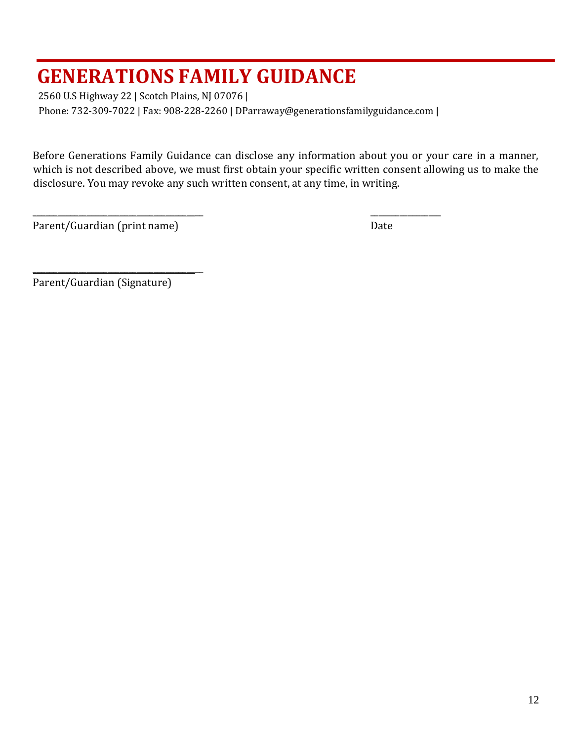2560 U.S Highway 22 | Scotch Plains, NJ 07076 |

Phone: 732-309-7022 | Fax: 908-228-2260 | DParraway@generationsfamilyguidance.com |

\_\_\_\_\_\_\_\_\_\_\_\_\_\_\_\_\_\_\_\_\_\_\_\_\_\_\_\_\_\_\_\_\_\_\_\_\_\_\_\_\_ \_\_\_\_\_\_\_\_\_\_\_\_\_\_\_\_\_

Before Generations Family Guidance can disclose any information about you or your care in a manner, which is not described above, we must first obtain your specific written consent allowing us to make the disclosure. You may revoke any such written consent, at any time, in writing.

Parent/Guardian (print name) Date

Parent/Guardian (Signature)

\_\_\_\_\_\_\_\_\_\_\_\_\_\_\_\_\_\_\_\_\_\_\_\_\_\_\_\_\_\_\_\_\_\_\_\_\_\_\_\_\_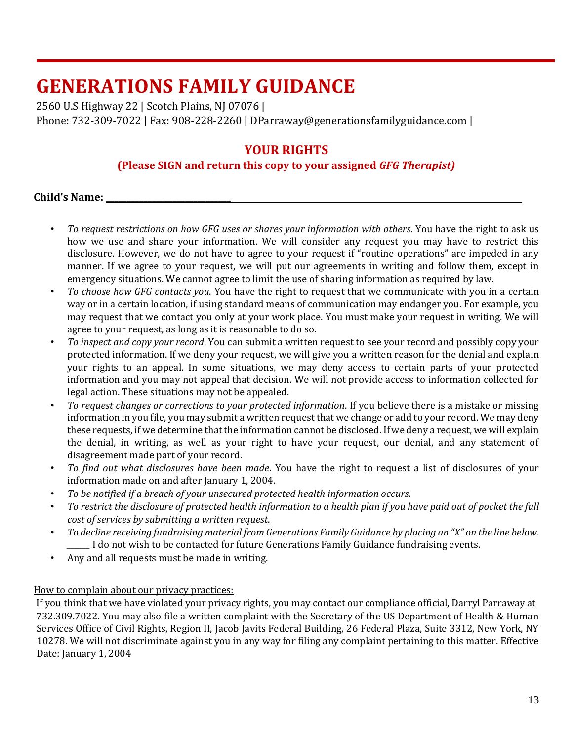2560 U.S Highway 22 | Scotch Plains, NJ 07076 | Phone: 732-309-7022 | Fax: 908-228-2260 | DParraway@generationsfamilyguidance.com |

## **YOUR RIGHTS**

### **(Please SIGN and return this copy to your assigned** *GFG Therapist)*

### **Child's Name: \_\_\_\_\_\_\_\_\_\_\_\_\_\_\_\_\_\_\_\_\_\_\_\_\_\_\_\_\_\_**

- *To request restrictions on how GFG uses or shares your information with others*. You have the right to ask us how we use and share your information. We will consider any request you may have to restrict this disclosure. However, we do not have to agree to your request if "routine operations" are impeded in any manner. If we agree to your request, we will put our agreements in writing and follow them, except in emergency situations. We cannot agree to limit the use of sharing information as required by law.
- *To choose how GFG contacts you*. You have the right to request that we communicate with you in a certain way or in a certain location, if using standard means of communication may endanger you. For example, you may request that we contact you only at your work place. You must make your request in writing. We will agree to your request, as long as it is reasonable to do so.
- *To inspect and copy your record*. You can submit a written request to see your record and possibly copy your protected information. If we deny your request, we will give you a written reason for the denial and explain your rights to an appeal. In some situations, we may deny access to certain parts of your protected information and you may not appeal that decision. We will not provide access to information collected for legal action. These situations may not be appealed.
- *To request changes or corrections to your protected information*. If you believe there is a mistake or missing information in you file, you may submit a written request that we change or add to your record. We may deny these requests, if we determine that the information cannot be disclosed. If we deny a request, we will explain the denial, in writing, as well as your right to have your request, our denial, and any statement of disagreement made part of your record.
- *To find out what disclosures have been made*. You have the right to request a list of disclosures of your information made on and after January 1, 2004.
- *To be notified if a breach of your unsecured protected health information occurs*.
- *To restrict the disclosure of protected health information to a health plan if you have paid out of pocket the full cost of services by submitting a written request*.
- *To decline receiving fundraising material from Generations Family Guidance by placing an "X" on the line below*. *\_\_\_\_\_\_* I do not wish to be contacted for future Generations Family Guidance fundraising events.
- Any and all requests must be made in writing.

### How to complain about our privacy practices:

If you think that we have violated your privacy rights, you may contact our compliance official, Darryl Parraway at 732.309.7022. You may also file a written complaint with the Secretary of the US Department of Health & Human Services Office of Civil Rights, Region II, Jacob Javits Federal Building, 26 Federal Plaza, Suite 3312, New York, NY 10278. We will not discriminate against you in any way for filing any complaint pertaining to this matter. Effective Date: January 1, 2004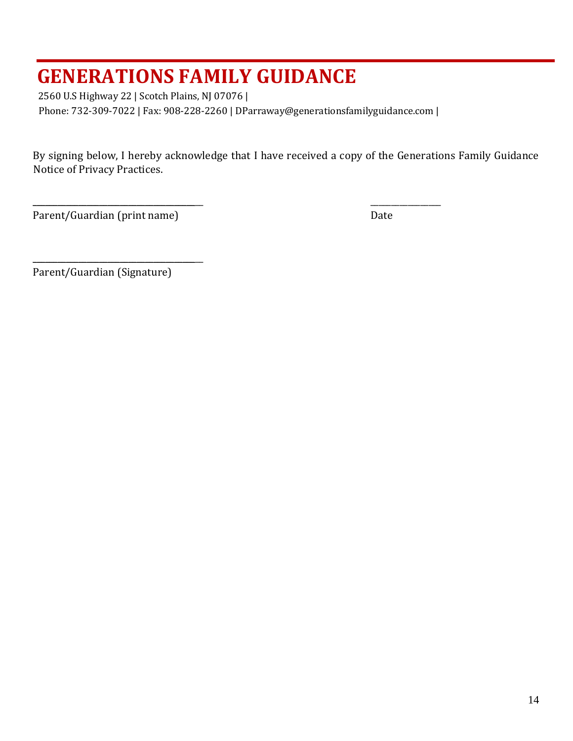2560 U.S Highway 22 | Scotch Plains, NJ 07076 | Phone: 732-309-7022 | Fax: 908-228-2260 | DParraway@generationsfamilyguidance.com |

\_\_\_\_\_\_\_\_\_\_\_\_\_\_\_\_\_\_\_\_\_\_\_\_\_\_\_\_\_\_\_\_\_\_\_\_\_\_\_\_\_ \_\_\_\_\_\_\_\_\_\_\_\_\_\_\_\_\_

By signing below, I hereby acknowledge that I have received a copy of the Generations Family Guidance Notice of Privacy Practices.

Parent/Guardian (print name) Date

Parent/Guardian (Signature)

 $\frac{1}{2}$  ,  $\frac{1}{2}$  ,  $\frac{1}{2}$  ,  $\frac{1}{2}$  ,  $\frac{1}{2}$  ,  $\frac{1}{2}$  ,  $\frac{1}{2}$  ,  $\frac{1}{2}$  ,  $\frac{1}{2}$  ,  $\frac{1}{2}$  ,  $\frac{1}{2}$  ,  $\frac{1}{2}$  ,  $\frac{1}{2}$  ,  $\frac{1}{2}$  ,  $\frac{1}{2}$  ,  $\frac{1}{2}$  ,  $\frac{1}{2}$  ,  $\frac{1}{2}$  ,  $\frac{1$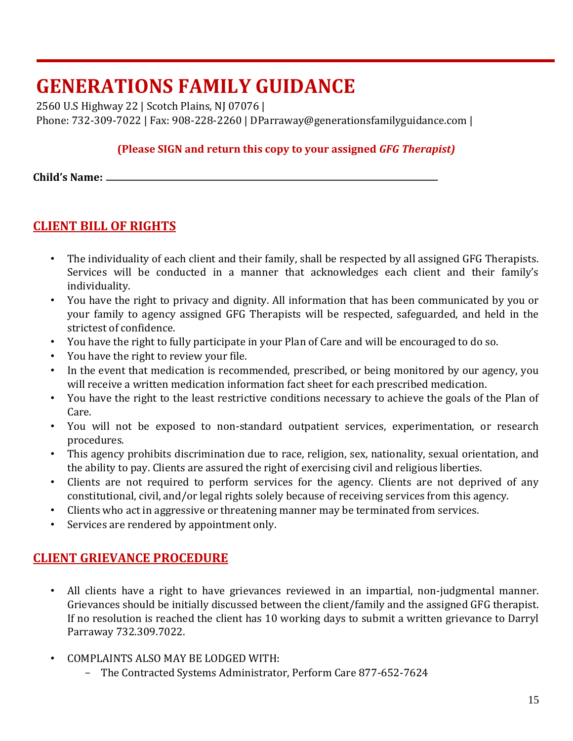2560 U.S Highway 22 | Scotch Plains, NJ 07076 | Phone: 732-309-7022 | Fax: 908-228-2260 | DParraway@generationsfamilyguidance.com |

### **(Please SIGN and return this copy to your assigned** *GFG Therapist)*

**Child's Name:** 

## **CLIENT BILL OF RIGHTS**

- The individuality of each client and their family, shall be respected by all assigned GFG Therapists. Services will be conducted in a manner that acknowledges each client and their family's individuality.
- You have the right to privacy and dignity. All information that has been communicated by you or your family to agency assigned GFG Therapists will be respected, safeguarded, and held in the strictest of confidence.
- You have the right to fully participate in your Plan of Care and will be encouraged to do so.
- You have the right to review your file.
- In the event that medication is recommended, prescribed, or being monitored by our agency, you will receive a written medication information fact sheet for each prescribed medication.
- You have the right to the least restrictive conditions necessary to achieve the goals of the Plan of Care.
- You will not be exposed to non-standard outpatient services, experimentation, or research procedures.
- This agency prohibits discrimination due to race, religion, sex, nationality, sexual orientation, and the ability to pay. Clients are assured the right of exercising civil and religious liberties.
- Clients are not required to perform services for the agency. Clients are not deprived of any constitutional, civil, and/or legal rights solely because of receiving services from this agency.
- Clients who act in aggressive or threatening manner may be terminated from services.
- Services are rendered by appointment only.

## **CLIENT GRIEVANCE PROCEDURE**

- All clients have a right to have grievances reviewed in an impartial, non-judgmental manner. Grievances should be initially discussed between the client/family and the assigned GFG therapist. If no resolution is reached the client has 10 working days to submit a written grievance to Darryl Parraway 732.309.7022.
- COMPLAINTS ALSO MAY BE LODGED WITH:
	- The Contracted Systems Administrator, Perform Care 877-652-7624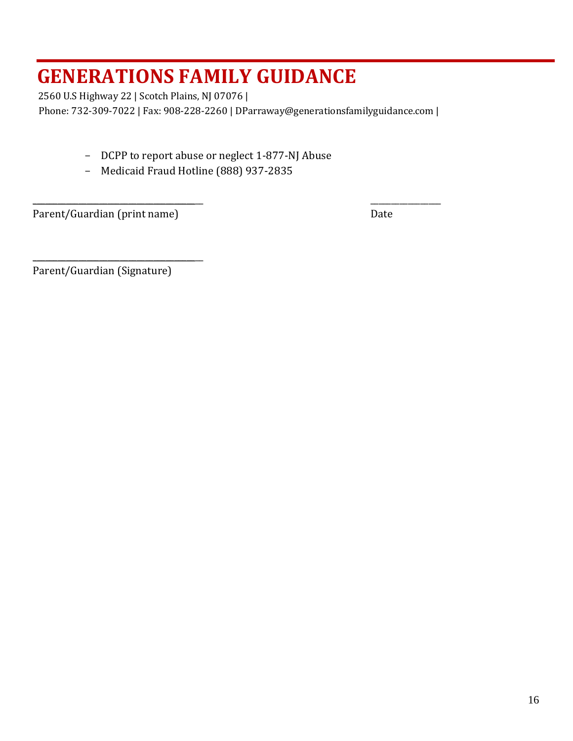2560 U.S Highway 22 | Scotch Plains, NJ 07076 |

Phone: 732-309-7022 | Fax: 908-228-2260 | DParraway@generationsfamilyguidance.com |

\_\_\_\_\_\_\_\_\_\_\_\_\_\_\_\_\_\_\_\_\_\_\_\_\_\_\_\_\_\_\_\_\_\_\_\_\_\_\_\_\_ \_\_\_\_\_\_\_\_\_\_\_\_\_\_\_\_\_

- DCPP to report abuse or neglect 1-877-NJ Abuse
- Medicaid Fraud Hotline (888) 937-2835

Parent/Guardian (print name) Date

Parent/Guardian (Signature)

\_\_\_\_\_\_\_\_\_\_\_\_\_\_\_\_\_\_\_\_\_\_\_\_\_\_\_\_\_\_\_\_\_\_\_\_\_\_\_\_\_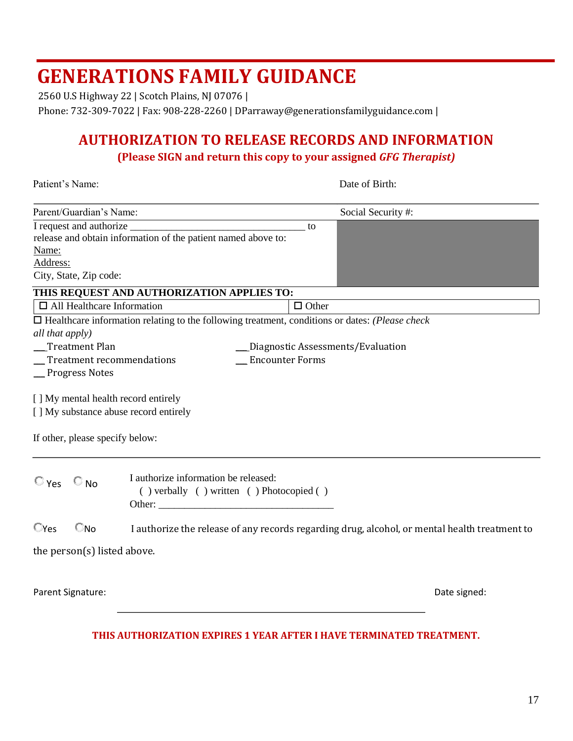2560 U.S Highway 22 | Scotch Plains, NJ 07076 |

Phone: 732-309-7022 | Fax: 908-228-2260 | DParraway@generationsfamilyguidance.com |

## **AUTHORIZATION TO RELEASE RECORDS AND INFORMATION**

**(Please SIGN and return this copy to your assigned** *GFG Therapist)* 

| Patient's Name:                                                                                                                                                                                       |                                                                                                                                 |              | Date of Birth:                    |  |  |
|-------------------------------------------------------------------------------------------------------------------------------------------------------------------------------------------------------|---------------------------------------------------------------------------------------------------------------------------------|--------------|-----------------------------------|--|--|
| Parent/Guardian's Name:                                                                                                                                                                               |                                                                                                                                 |              | Social Security #:                |  |  |
| I request and authorize _<br>Name:<br>Address:<br>City, State, Zip code:                                                                                                                              | release and obtain information of the patient named above to:                                                                   | to           |                                   |  |  |
|                                                                                                                                                                                                       | THIS REQUEST AND AUTHORIZATION APPLIES TO:                                                                                      |              |                                   |  |  |
| $\Box$ All Healthcare Information                                                                                                                                                                     |                                                                                                                                 | $\Box$ Other |                                   |  |  |
| all that apply)<br>Treatment Plan<br>_Treatment recommendations<br>_Progress Notes<br>[] My mental health record entirely<br>[] My substance abuse record entirely<br>If other, please specify below: | $\Box$ Healthcare information relating to the following treatment, conditions or dates: (Please check<br><b>Encounter Forms</b> |              | Diagnostic Assessments/Evaluation |  |  |
| $\circ$ Yes<br>$\circ$ No                                                                                                                                                                             | I authorize information be released:<br>() verbally () written () Photocopied ()                                                |              |                                   |  |  |
| $\mathbb{C}$ Yes<br>$\Box$ No                                                                                                                                                                         | I authorize the release of any records regarding drug, alcohol, or mental health treatment to                                   |              |                                   |  |  |
| the person(s) listed above.                                                                                                                                                                           |                                                                                                                                 |              |                                   |  |  |
| Parent Signature:                                                                                                                                                                                     |                                                                                                                                 |              | Date signed:                      |  |  |
|                                                                                                                                                                                                       | THIS AUTHORIZATION EXPIRES 1 YEAR AFTER I HAVE TERMINATED TREATMENT.                                                            |              |                                   |  |  |